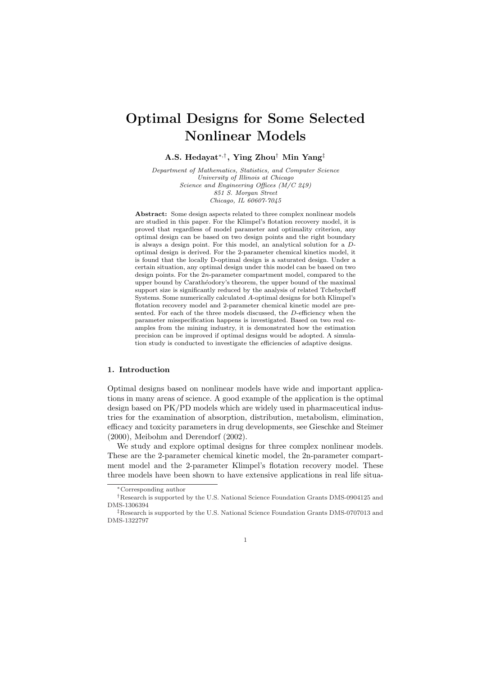# Optimal Designs for Some Selected Nonlinear Models

A.S. Hedayat<sup>∗</sup>,† , Ying Zhou† Min Yang‡

Department of Mathematics, Statistics, and Computer Science University of Illinois at Chicago Science and Engineering Offices (M/C 249) 851 S. Morgan Street Chicago, IL 60607-7045

Abstract: Some design aspects related to three complex nonlinear models are studied in this paper. For the Klimpel's flotation recovery model, it is proved that regardless of model parameter and optimality criterion, any optimal design can be based on two design points and the right boundary is always a design point. For this model, an analytical solution for a Doptimal design is derived. For the 2-parameter chemical kinetics model, it is found that the locally D-optimal design is a saturated design. Under a certain situation, any optimal design under this model can be based on two design points. For the 2n-parameter compartment model, compared to the upper bound by Carathéodory's theorem, the upper bound of the maximal support size is significantly reduced by the analysis of related Tchebycheff Systems. Some numerically calculated A-optimal designs for both Klimpel's flotation recovery model and 2-parameter chemical kinetic model are presented. For each of the three models discussed, the D-efficiency when the parameter misspecification happens is investigated. Based on two real examples from the mining industry, it is demonstrated how the estimation precision can be improved if optimal designs would be adopted. A simulation study is conducted to investigate the efficiencies of adaptive designs.

#### 1. Introduction

Optimal designs based on nonlinear models have wide and important applications in many areas of science. A good example of the application is the optimal design based on PK/PD models which are widely used in pharmaceutical industries for the examination of absorption, distribution, metabolism, elimination, efficacy and toxicity parameters in drug developments, see Gieschke and Steimer (2000), Meibohm and Derendorf (2002).

We study and explore optimal designs for three complex nonlinear models. These are the 2-parameter chemical kinetic model, the 2n-parameter compartment model and the 2-parameter Klimpel's flotation recovery model. These three models have been shown to have extensive applications in real life situa-

1

<sup>∗</sup>Corresponding author

<sup>†</sup>Research is supported by the U.S. National Science Foundation Grants DMS-0904125 and DMS-1306394

<sup>‡</sup>Research is supported by the U.S. National Science Foundation Grants DMS-0707013 and DMS-1322797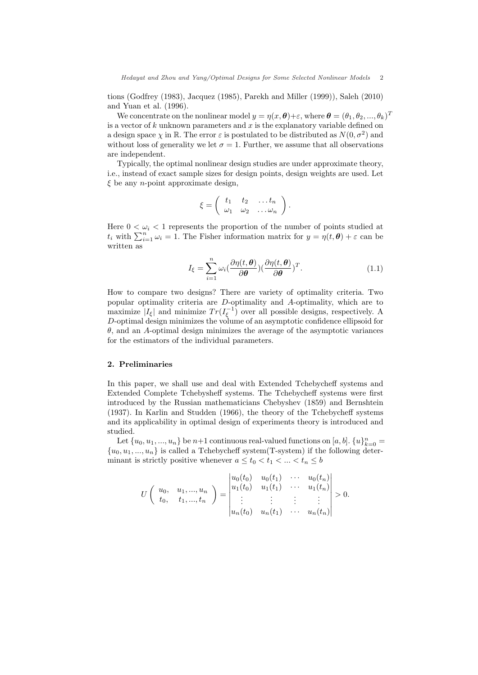tions (Godfrey (1983), Jacquez (1985), Parekh and Miller (1999)), Saleh (2010) and Yuan et al. (1996).

We concentrate on the nonlinear model  $y = \eta(x, \theta) + \varepsilon$ , where  $\theta = (\theta_1, \theta_2, ..., \theta_k)^T$ is a vector of  $k$  unknown parameters and  $x$  is the explanatory variable defined on a design space  $\chi$  in R. The error  $\varepsilon$  is postulated to be distributed as  $N(0, \sigma^2)$  and without loss of generality we let  $\sigma = 1$ . Further, we assume that all observations are independent.

Typically, the optimal nonlinear design studies are under approximate theory, i.e., instead of exact sample sizes for design points, design weights are used. Let  $\xi$  be any *n*-point approximate design,

$$
\xi = \left( \begin{array}{cccc} t_1 & t_2 & \dots t_n \\ \omega_1 & \omega_2 & \dots \omega_n \end{array} \right).
$$

Here  $0 < \omega_i < 1$  represents the proportion of the number of points studied at there  $0 \le \omega_i \le 1$  represents the proportion of the number of points studied at  $t_i$  with  $\sum_{i=1}^n \omega_i = 1$ . The Fisher information matrix for  $y = \eta(t, \theta) + \varepsilon$  can be written as

$$
I_{\xi} = \sum_{i=1}^{n} \omega_i \left( \frac{\partial \eta(t, \boldsymbol{\theta})}{\partial \boldsymbol{\theta}} \right) \left( \frac{\partial \eta(t, \boldsymbol{\theta})}{\partial \boldsymbol{\theta}} \right)^T. \tag{1.1}
$$

How to compare two designs? There are variety of optimality criteria. Two popular optimality criteria are D-optimality and A-optimality, which are to maximize  $|I_{\xi}|$  and minimize  $Tr(I_{\xi}^{-1})$  over all possible designs, respectively. A D-optimal design minimizes the volume of an asymptotic confidence ellipsoid for  $\theta$ , and an A-optimal design minimizes the average of the asymptotic variances for the estimators of the individual parameters.

#### 2. Preliminaries

In this paper, we shall use and deal with Extended Tchebycheff systems and Extended Complete Tchebysheff systems. The Tchebycheff systems were first introduced by the Russian mathematicians Chebyshev (1859) and Bernshtein (1937). In Karlin and Studden (1966), the theory of the Tchebycheff systems and its applicability in optimal design of experiments theory is introduced and studied.

Let  $\{u_0, u_1, ..., u_n\}$  be  $n+1$  continuous real-valued functions on  $[a, b]$ .  $\{u\}_{k=0}^n =$  ${u_0, u_1, ..., u_n}$  is called a Tchebycheff system(T-system) if the following determinant is strictly positive whenever  $a \leq t_0 < t_1 < ... < t_n \leq b$ 

$$
U\left(\begin{array}{cccc}u_0, & u_1, ..., u_n \\ t_0, & t_1, ..., t_n\end{array}\right) = \begin{vmatrix}u_0(t_0) & u_0(t_1) & \cdots & u_0(t_n) \\u_1(t_0) & u_1(t_1) & \cdots & u_1(t_n) \\ \vdots & \vdots & \vdots & \vdots \\u_n(t_0) & u_n(t_1) & \cdots & u_n(t_n)\end{vmatrix} > 0.
$$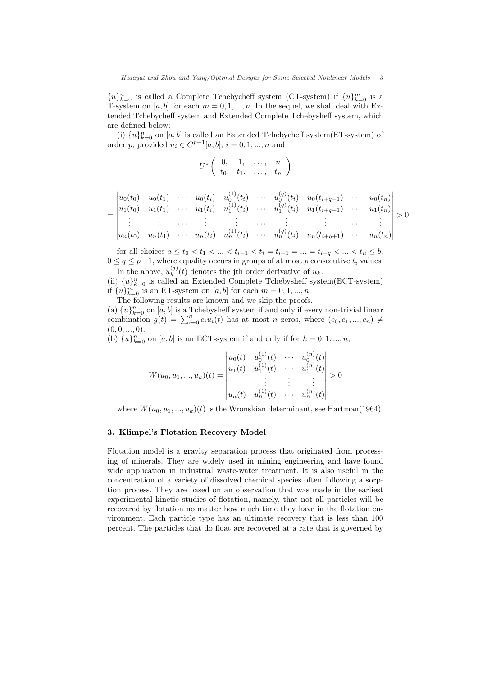${u}_{k=0}^n$  is called a Complete Tchebycheff system (CT-system) if  ${u}_{k=0}^m$  is a T-system on [a, b] for each  $m = 0, 1, ..., n$ . In the sequel, we shall deal with Extended Tchebycheff system and Extended Complete Tchebysheff system, which are defined below:

(i)  ${u}_{k=0}^{n}$  on  $[a, b]$  is called an Extended Tchebycheff system(ET-system) of order p, provided  $u_i \in C^{p-1}[a, b], i = 0, 1, ..., n$  and

$$
U^* \left( \begin{array}{cccc} 0, & 1, & \ldots, & n \\ t_0, & t_1, & \ldots, & t_n \end{array} \right)
$$

$$
= \begin{vmatrix} u_0(t_0) & u_0(t_1) & \cdots & u_0(t_i) & u_0^{(1)}(t_i) & \cdots & u_0^{(q)}(t_i) & u_0(t_{i+q+1}) & \cdots & u_0(t_n) \\ u_1(t_0) & u_1(t_1) & \cdots & u_1(t_i) & u_1^{(1)}(t_i) & \cdots & u_1^{(q)}(t_i) & u_1(t_{i+q+1}) & \cdots & u_1(t_n) \\ \vdots & \vdots & \cdots & \vdots & \vdots & \cdots & \vdots & \vdots & \cdots & \vdots \\ u_n(t_0) & u_n(t_1) & \cdots & u_n(t_i) & u_n^{(1)}(t_i) & \cdots & u_n^{(q)}(t_i) & u_n(t_{i+q+1}) & \cdots & u_n(t_n) \end{vmatrix} > 0
$$

 $\alpha$ 

 $\overline{a}$ 

for all choices  $a \le t_0 < t_1 < \ldots < t_{i-1} < t_i = t_{i+1} = \ldots = t_{i+q} < \ldots < t_n \le b$ ,  $0 \leq q \leq p-1$ , where equality occurs in groups of at most p consecutive  $t_i$  values. In the above,  $u_k^{(j)}$ 

 $\binom{1}{k}(t)$  denotes the jth order derivative of  $u_k$ . (ii)  $\{u\}_{k=0}^n$  is called an Extended Complete Tchebysheff system(ECT-system) if  ${u}_{k=0}^m$  is an ET-system on  $[a, b]$  for each  $m = 0, 1, ..., n$ .

The following results are known and we skip the proofs.

 $\overline{a}$ 

(a)  ${u}_{k=0}^n$  on  $[a, b]$  is a Tchebysheff system if and only if every non-trivial linear combination  $g(t) = \sum_{i=0}^n c_i u_i(t)$  has at most *n* zeros, where  $(c_0, c_1, ..., c_n) \neq$  $(0, 0, \ldots, 0).$ 

(b)  ${u}_{k=0}^{n}$  on  $[a, b]$  is an ECT-system if and only if for  $k = 0, 1, ..., n$ ,

$$
W(u_0, u_1, ..., u_k)(t) = \begin{vmatrix} u_0(t) & u_0^{(1)}(t) & \cdots & u_0^{(n)}(t) \\ u_1(t) & u_1^{(1)}(t) & \cdots & u_1^{(n)}(t) \\ \vdots & \vdots & \vdots & \vdots \\ u_n(t) & u_n^{(1)}(t) & \cdots & u_n^{(n)}(t) \end{vmatrix} > 0
$$

where  $W(u_0, u_1, ..., u_k)(t)$  is the Wronskian determinant, see Hartman(1964).

#### 3. Klimpel's Flotation Recovery Model

Flotation model is a gravity separation process that originated from processing of minerals. They are widely used in mining engineering and have found wide application in industrial waste-water treatment. It is also useful in the concentration of a variety of dissolved chemical species often following a sorption process. They are based on an observation that was made in the earliest experimental kinetic studies of flotation, namely, that not all particles will be recovered by flotation no matter how much time they have in the flotation environment. Each particle type has an ultimate recovery that is less than 100 percent. The particles that do float are recovered at a rate that is governed by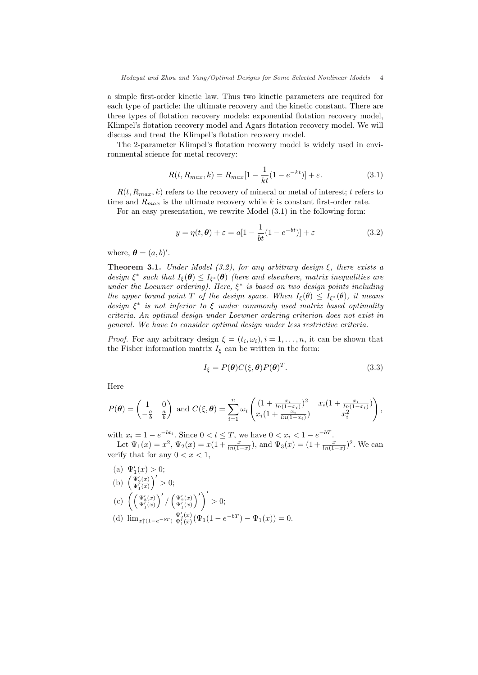a simple first-order kinetic law. Thus two kinetic parameters are required for each type of particle: the ultimate recovery and the kinetic constant. There are three types of flotation recovery models: exponential flotation recovery model, Klimpel's flotation recovery model and Agars flotation recovery model. We will discuss and treat the Klimpel's flotation recovery model.

The 2-parameter Klimpel's flotation recovery model is widely used in environmental science for metal recovery:

$$
R(t, R_{max}, k) = R_{max}[1 - \frac{1}{kt}(1 - e^{-kt})] + \varepsilon.
$$
 (3.1)

 $R(t, R_{max}, k)$  refers to the recovery of mineral or metal of interest; t refers to time and  $R_{max}$  is the ultimate recovery while k is constant first-order rate.

For an easy presentation, we rewrite Model (3.1) in the following form:

$$
y = \eta(t, \theta) + \varepsilon = a[1 - \frac{1}{bt}(1 - e^{-bt})] + \varepsilon
$$
\n(3.2)

where,  $\boldsymbol{\theta} = (a, b)'$ .

**Theorem 3.1.** Under Model (3.2), for any arbitrary design  $\xi$ , there exists a design  $\xi^*$  such that  $I_{\xi}(\theta) \leq I_{\xi^*}(\theta)$  (here and elsewhere, matrix inequalities are under the Loewner ordering). Here,  $\xi^*$  is based on two design points including the upper bound point T of the design space. When  $I_{\xi}(\theta) \leq I_{\xi^*}(\theta)$ , it means design  $\xi^*$  is not inferior to  $\xi$  under commonly used matrix based optimality criteria. An optimal design under Loewner ordering criterion does not exist in general. We have to consider optimal design under less restrictive criteria.

*Proof.* For any arbitrary design  $\xi = (t_i, \omega_i), i = 1, \ldots, n$ , it can be shown that the Fisher information matrix  $I_{\xi}$  can be written in the form:

$$
I_{\xi} = P(\theta)C(\xi, \theta)P(\theta)^{T}.
$$
\n(3.3)

Here

$$
P(\theta) = \begin{pmatrix} 1 & 0 \\ -\frac{a}{b} & \frac{a}{b} \end{pmatrix} \text{ and } C(\xi, \theta) = \sum_{i=1}^{n} \omega_i \begin{pmatrix} (1 + \frac{x_i}{\ln(1-x_i)})^2 & x_i(1 + \frac{x_i}{\ln(1-x_i)}) \\ x_i(1 + \frac{x_i}{\ln(1-x_i)}) & x_i^2 \end{pmatrix},
$$

with  $x_i = 1 - e^{-bt_i}$ . Since  $0 < t \leq T$ , we have  $0 < x_i < 1 - e^{-bT}$ .

Let  $\Psi_1(x) = x^2$ ,  $\Psi_2(x) = x(1 + \frac{x}{\ln(1-x)})$ , and  $\Psi_3(x) = (1 + \frac{x}{\ln(1-x)})^2$ . We can verify that for any  $0 < x < 1$ ,

(a)  $\Psi_1'(x) > 0;$ (a)  $\frac{\Psi_1(x)}{\Psi_1'(x)}$ ´0  $> 0;$ (c)  $\left( \frac{\Psi_1'(x)}{\Psi_1'(x)} \right)$  $\sqrt{2}$ /  $\left(\frac{\Psi_2'(x)}{\Psi_1'(x)}\right)$  $\sqrt{2}$  $> 0;$ (d)  $\lim_{x \uparrow (1-e^{-bT})} \frac{\Psi_2'(x)}{\Psi_1(x)} (\Psi_1(1-e^{-bT}) - \Psi_1(x)) = 0.$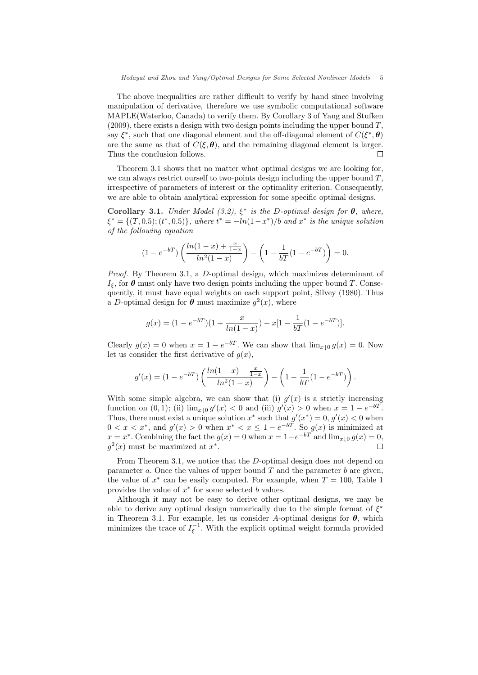The above inequalities are rather difficult to verify by hand since involving manipulation of derivative, therefore we use symbolic computational software MAPLE(Waterloo, Canada) to verify them. By Corollary 3 of Yang and Stufken  $(2009)$ , there exists a design with two design points including the upper bound T, say  $\xi^*$ , such that one diagonal element and the off-diagonal element of  $C(\xi^*, \theta)$ are the same as that of  $C(\xi, \theta)$ , and the remaining diagonal element is larger. Thus the conclusion follows.  $\Box$ 

Theorem 3.1 shows that no matter what optimal designs we are looking for, we can always restrict ourself to two-points design including the upper bound  $T$ , irrespective of parameters of interest or the optimality criterion. Consequently, we are able to obtain analytical expression for some specific optimal designs.

Corollary 3.1. Under Model (3.2),  $\xi^*$  is the D-optimal design for  $\theta$ , where,  $\xi^* = \{(T, 0.5); (t^*, 0.5)\}, where t^* = -\ln(1 - x^*)/b \text{ and } x^* \text{ is the unique solution}$ of the following equation

$$
(1 - e^{-bT}) \left( \frac{\ln(1-x) + \frac{x}{1-x}}{\ln^2(1-x)} \right) - \left( 1 - \frac{1}{bT} (1 - e^{-bT}) \right) = 0.
$$

Proof. By Theorem 3.1, a D-optimal design, which maximizes determinant of  $I_{\xi}$ , for  $\theta$  must only have two design points including the upper bound T. Consequently, it must have equal weights on each support point, Silvey (1980). Thus a D-optimal design for  $\theta$  must maximize  $g^2(x)$ , where

$$
g(x) = (1 - e^{-bT})(1 + \frac{x}{\ln(1-x)}) - x[1 - \frac{1}{bT}(1 - e^{-bT})].
$$

Clearly  $g(x) = 0$  when  $x = 1 - e^{-bT}$ . We can show that  $\lim_{x \downarrow 0} g(x) = 0$ . Now let us consider the first derivative of  $g(x)$ ,

$$
g'(x) = (1 - e^{-bT}) \left( \frac{\ln(1-x) + \frac{x}{1-x}}{\ln^2(1-x)} \right) - \left( 1 - \frac{1}{bT} (1 - e^{-bT}) \right).
$$

With some simple algebra, we can show that (i)  $g'(x)$  is a strictly increasing function on (0,1); (ii)  $\lim_{x \downarrow 0} g'(x) < 0$  and (iii)  $g'(x) > 0$  when  $x = 1 - e^{-bT}$ . Thus, there must exist a unique solution  $x^*$  such that  $g'(x^*) = 0, g'(x) < 0$  when  $0 < x < x^*$ , and  $g'(x) > 0$  when  $x^* < x \le 1 - e^{-bT}$ . So  $g(x)$  is minimized at  $x = x^*$ . Combining the fact the  $g(x) = 0$  when  $x = 1 - e^{-bT}$  and  $\lim_{x \downarrow 0} g(x) = 0$ ,  $g^2(x)$  must be maximized at  $x^*$ .  $\Box$ 

From Theorem 3.1, we notice that the D-optimal design does not depend on parameter a. Once the values of upper bound  $T$  and the parameter  $b$  are given, the value of  $x^*$  can be easily computed. For example, when  $T = 100$ , Table 1 provides the value of  $x^*$  for some selected b values.

Although it may not be easy to derive other optimal designs, we may be able to derive any optimal design numerically due to the simple format of  $\xi^*$ in Theorem 3.1. For example, let us consider A-optimal designs for  $\theta$ , which minimizes the trace of  $I_{\xi}^{-1}$ . With the explicit optimal weight formula provided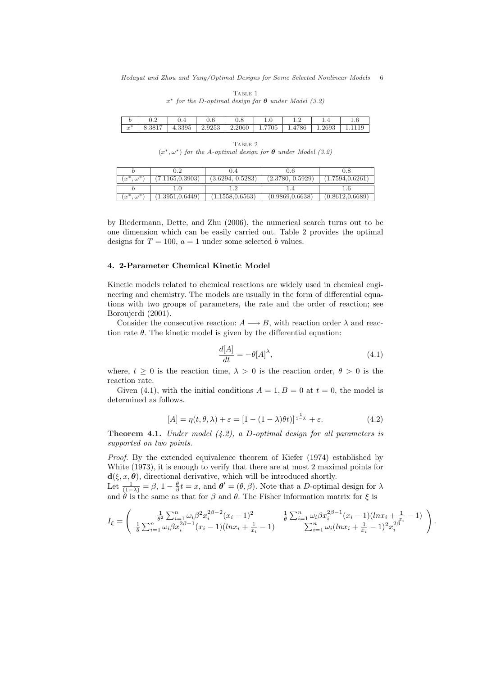| $x^*$ for the D-optimal design for $\theta$ under Model (3.2) |                  |     |     |                                                                               |     |     |  |  |
|---------------------------------------------------------------|------------------|-----|-----|-------------------------------------------------------------------------------|-----|-----|--|--|
| $\boldsymbol{h}$                                              | 0.2 <sup>°</sup> | 0.4 | 0.6 | 0.8                                                                           | 1.0 | 1.2 |  |  |
|                                                               |                  |     |     | $x^*$   8.3817   4.3395   2.9253   2.2060   1.7705   1.4786   1.2693   1.1119 |     |     |  |  |

TABLE 1

TABLE 2  $(x^*, \omega^*)$  for the A-optimal design for  $\theta$  under Model (3.2)

|                     |                |                  | D.6              |                  |
|---------------------|----------------|------------------|------------------|------------------|
| $\omega^*$<br>$x^*$ | 1165, 0.3903   | (3.6294, 0.5283) | (2.3780, 0.5929) | 1.7594, 0.6261   |
|                     |                |                  |                  |                  |
| $\omega^*$<br>$x^*$ | 1.3951, 0.6449 | 1.1558,0.6563)   | (0.9869, 0.6638) | (0.8612, 0.6689) |

by Biedermann, Dette, and Zhu (2006), the numerical search turns out to be one dimension which can be easily carried out. Table 2 provides the optimal designs for  $T = 100$ ,  $a = 1$  under some selected b values.

#### 4. 2-Parameter Chemical Kinetic Model

Kinetic models related to chemical reactions are widely used in chemical engineering and chemistry. The models are usually in the form of differential equations with two groups of parameters, the rate and the order of reaction; see Boroujerdi (2001).

Consider the consecutive reaction:  $A \longrightarrow B$ , with reaction order  $\lambda$  and reaction rate  $\theta$ . The kinetic model is given by the differential equation:

$$
\frac{d[A]}{dt} = -\theta[A]^\lambda,\tag{4.1}
$$

where,  $t \geq 0$  is the reaction time,  $\lambda > 0$  is the reaction order,  $\theta > 0$  is the reaction rate.

Given (4.1), with the initial conditions  $A = 1, B = 0$  at  $t = 0$ , the model is determined as follows.

$$
[A] = \eta(t, \theta, \lambda) + \varepsilon = [1 - (1 - \lambda)\theta t]^\frac{1}{1 - \lambda} + \varepsilon. \tag{4.2}
$$

**Theorem 4.1.** Under model  $(4.2)$ , a D-optimal design for all parameters is supported on two points.

Proof. By the extended equivalence theorem of Kiefer (1974) established by White (1973), it is enough to verify that there are at most 2 maximal points for  $\mathbf{d}(\xi, x, \theta)$ , directional derivative, which will be introduced shortly.

Let  $\frac{1}{(1-\lambda)} = \beta$ ,  $1 - \frac{\theta}{\beta}t = x$ , and  $\theta' = (\theta, \beta)$ . Note that a D-optimal design for  $\lambda$ and  $\hat{\theta}$  is the same as that for  $\beta$  and  $\theta$ . The Fisher information matrix for  $\xi$  is

$$
I_{\xi} = \begin{pmatrix} \frac{1}{\theta^2} \sum_{i=1}^n \omega_i \beta^2 x_i^{2\beta - 2} (x_i - 1)^2 & \frac{1}{\theta} \sum_{i=1}^n \omega_i \beta x_i^{2\beta - 1} (x_i - 1) (ln x_i + \frac{1}{x_i} - 1) \\ \frac{1}{\theta} \sum_{i=1}^n \omega_i \beta x_i^{2\beta - 1} (x_i - 1) (ln x_i + \frac{1}{x_i} - 1) & \sum_{i=1}^n \omega_i (ln x_i + \frac{1}{x_i} - 1)^2 x_i^{2\beta} \end{pmatrix}.
$$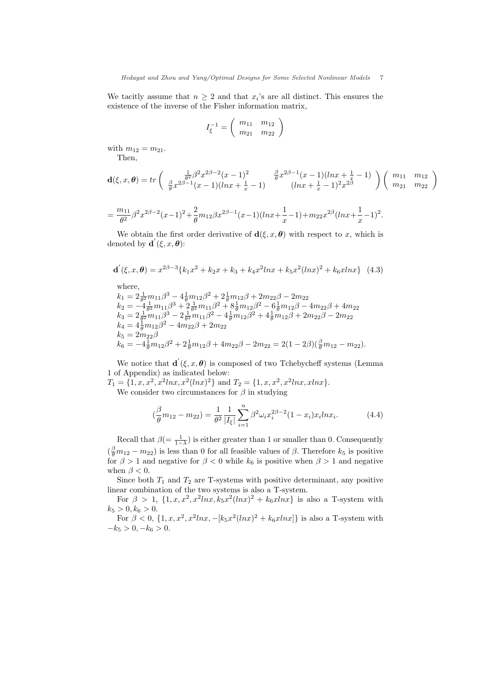We tacitly assume that  $n \geq 2$  and that  $x_i$ 's are all distinct. This ensures the existence of the inverse of the Fisher information matrix,

$$
I_{\xi}^{-1} = \left( \begin{array}{cc} m_{11} & m_{12} \\ m_{21} & m_{22} \end{array} \right)
$$

with  $m_{12} = m_{21}$ .

Then,

$$
\mathbf{d}(\xi, x, \theta) = tr \left( \begin{array}{cc} \frac{1}{\theta^2} \beta^2 x^{2\beta - 2} (x - 1)^2 & \frac{\beta}{\theta} x^{2\beta - 1} (x - 1)(\ln x + \frac{1}{x} - 1) \\ \frac{\beta}{\theta} x^{2\beta - 1} (x - 1)(\ln x + \frac{1}{x} - 1) & (\ln x + \frac{1}{x} - 1)^2 x^{2\beta} \end{array} \right) \left( \begin{array}{cc} m_{11} & m_{12} \\ m_{21} & m_{22} \end{array} \right)
$$

$$
= \frac{m_{11}}{\theta^2} \beta^2 x^{2\beta - 2} (x - 1)^2 + \frac{2}{\theta} m_{12} \beta x^{2\beta - 1} (x - 1) (ln x + \frac{1}{x} - 1) + m_{22} x^{2\beta} (ln x + \frac{1}{x} - 1)^2.
$$

We obtain the first order derivative of  $\mathbf{d}(\xi, x, \theta)$  with respect to x, which is denoted by  $\mathbf{d}'(\xi, x, \boldsymbol{\theta})$ :

$$
\mathbf{d}'(\xi, x, \theta) = x^{2\beta - 3} \{k_1 x^2 + k_2 x + k_3 + k_4 x^2 \ln x + k_5 x^2 (\ln x)^2 + k_6 x \ln x \} \tag{4.3}
$$

where,

 $k_1 = 2\frac{1}{\theta^2}m_{11}\beta^3 - 4\frac{1}{\theta}m_{12}\beta^2 + 2\frac{1}{\theta}m_{12}\beta + 2m_{22}\beta - 2m_{22}$  $k_2 = -4\frac{1}{6^2}m_{11}\beta^3 + 2\frac{1}{6^2}m_{11}\beta^2 + 8\frac{1}{6}m_{12}\beta^2 - 6\frac{1}{6}m_{12}\beta - 4m_{22}\beta + 4m_{22}$  $k_3 = 2\frac{1}{\theta^2}m_{11}\beta^3 - 2\frac{1}{\theta^2}m_{11}\beta^2 - 4\frac{1}{\theta}m_{12}\beta^2 + 4\frac{1}{\theta}m_{12}\beta + 2m_{22}\beta - 2m_{22}$  $k_4 = 4\frac{1}{\theta}m_{12}\beta^2 - 4m_{22}\beta + 2m_{22}$  $k_5 = 2m_{22}\beta$  $k_6 = -4\frac{1}{\theta}m_{12}\beta^2 + 2\frac{1}{\theta}m_{12}\beta + 4m_{22}\beta - 2m_{22} = 2(1 - 2\beta)(\frac{\beta}{\theta}m_{12} - m_{22}).$ 

We notice that  $\mathbf{d}'(\xi, x, \boldsymbol{\theta})$  is composed of two Tchebycheff systems (Lemma 1 of Appendix) as indicated below:

 $T_1 = \{1, x, x^2, x^2 \ln x, x^2(\ln x)^2\}$  and  $T_2 = \{1, x, x^2, x^2 \ln x, x \ln x\}.$ We consider two circumstances for  $\beta$  in studying

$$
\left(\frac{\beta}{\theta}m_{12}-m_{22}\right) = \frac{1}{\theta^2} \frac{1}{|I_{\xi}|} \sum_{i=1}^n \beta^2 \omega_i x_i^{2\beta-2} (1-x_i)x_i \ln x_i.
$$
 (4.4)

Recall that  $\beta = \frac{1}{1-\lambda}$  is either greater than 1 or smaller than 0. Consequently  $(\frac{\beta}{\theta}m_{12}-m_{22})$  is less than 0 for all feasible values of  $\beta$ . Therefore  $k_5$  is positive for  $\beta > 1$  and negative for  $\beta < 0$  while  $k_6$  is positive when  $\beta > 1$  and negative when  $\beta < 0$ .

Since both  $T_1$  and  $T_2$  are T-systems with positive determinant, any positive linear combination of the two systems is also a T-system.

For  $\beta > 1$ ,  $\{1, x, x^2, x^2 \ln x, k_5 x^2 (\ln x)^2 + k_6 x \ln x\}$  is also a T-system with  $k_5 > 0, k_6 > 0.$ 

For  $\beta < 0$ ,  $\{1, x, x^2, x^2 \ln x, -[k_5 x^2 (\ln x)^2 + k_6 x \ln x]\}$  is also a T-system with  $-k_5 > 0, -k_6 > 0.$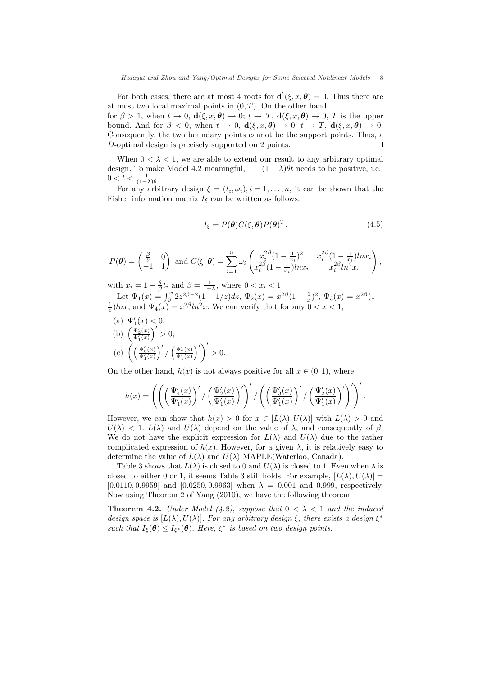For both cases, there are at most 4 roots for  $\mathbf{d}'(\xi, x, \theta) = 0$ . Thus there are at most two local maximal points in  $(0, T)$ . On the other hand,

for  $\beta > 1$ , when  $t \to 0$ ,  $d(\xi, x, \theta) \to 0$ ;  $t \to T$ ,  $d(\xi, x, \theta) \to 0$ , T is the upper bound. And for  $\beta < 0$ , when  $t \to 0$ ,  $d(\xi, x, \theta) \to 0$ ;  $t \to T$ ,  $d(\xi, x, \theta) \to 0$ . Consequently, the two boundary points cannot be the support points. Thus, a D-optimal design is precisely supported on 2 points.  $\Box$ 

When  $0 < \lambda < 1$ , we are able to extend our result to any arbitrary optimal design. To make Model 4.2 meaningful,  $1 - (1 - \lambda)\theta t$  needs to be positive, i.e.,  $0 < t < \frac{1}{(1-\lambda)\theta}.$ 

For any arbitrary design  $\xi = (t_i, \omega_i), i = 1, \ldots, n$ , it can be shown that the Fisher information matrix  $I_{\xi}$  can be written as follows:

$$
I_{\xi} = P(\theta)C(\xi, \theta)P(\theta)^{T}.
$$
\n(4.5)

$$
P(\theta) = \begin{pmatrix} \frac{\beta}{\theta} & 0 \\ -1 & 1 \end{pmatrix} \text{ and } C(\xi, \theta) = \sum_{i=1}^{n} \omega_i \begin{pmatrix} x_i^{2\beta} (1 - \frac{1}{x_i})^2 & x_i^{2\beta} (1 - \frac{1}{x_i}) ln x_i \\ x_i^{2\beta} (1 - \frac{1}{x_i}) ln x_i & x_i^{2\beta} ln^2 x_i \end{pmatrix},
$$

with  $x_i = 1 - \frac{\theta}{\beta} t_i$  and  $\beta = \frac{1}{1-\lambda}$ , where  $0 < x_i < 1$ .

Let  $\Psi_1(x) = \int_0^x 2z^{2\beta-2}(1-1/z)dz$ ,  $\Psi_2(x) = x^{2\beta}(1-\frac{1}{x})^2$ ,  $\Psi_3(x) = x^{2\beta}(1-\frac{1}{x})$  $\frac{1}{x}$ lnx, and  $\Psi_4(x) = x^{2\beta} \ln^2 x$ . We can verify that for any  $0 < x < 1$ ,

(a)  $\Psi_1'(x) < 0;$ (a)  $\frac{\Psi_1(x)}{\Psi_1'(x)}$ ´0  $> 0;$ (c)  $\left( \frac{\Psi_1'(x)}{\Psi_1'(x)} \right)$  $\sqrt{2}$ /  $\left(\frac{\Psi_2'(x)}{\Psi_1'(x)}\right)$  $\sqrt{2}$  $> 0.$ 

On the other hand,  $h(x)$  is not always positive for all  $x \in (0,1)$ , where

$$
h(x)=\left(\left(\left(\frac{\Psi_4'(x)}{\Psi_1'(x)}\right)'/\left(\frac{\Psi_2'(x)}{\Psi_1'(x)}\right)'\right)'/\left(\left(\frac{\Psi_3'(x)}{\Psi_1'(x)}\right)'/\left(\frac{\Psi_2'(x)}{\Psi_1'(x)}\right)'\right)'.
$$

However, we can show that  $h(x) > 0$  for  $x \in [L(\lambda), U(\lambda)]$  with  $L(\lambda) > 0$  and  $U(\lambda)$  < 1.  $L(\lambda)$  and  $U(\lambda)$  depend on the value of  $\lambda$ , and consequently of  $\beta$ . We do not have the explicit expression for  $L(\lambda)$  and  $U(\lambda)$  due to the rather complicated expression of  $h(x)$ . However, for a given  $\lambda$ , it is relatively easy to determine the value of  $L(\lambda)$  and  $U(\lambda)$  MAPLE(Waterloo, Canada).

Table 3 shows that  $L(\lambda)$  is closed to 0 and  $U(\lambda)$  is closed to 1. Even when  $\lambda$  is closed to either 0 or 1, it seems Table 3 still holds. For example,  $[L(\lambda), U(\lambda)] =$ [0.0110, 0.9959] and [0.0250, 0.9963] when  $\lambda = 0.001$  and 0.999, respectively. Now using Theorem 2 of Yang (2010), we have the following theorem.

**Theorem 4.2.** Under Model (4.2), suppose that  $0 < \lambda < 1$  and the induced design space is  $[L(\lambda), U(\lambda)]$ . For any arbitrary design  $\xi$ , there exists a design  $\xi^*$ such that  $I_{\xi}(\theta) \leq I_{\xi^*}(\theta)$ . Here,  $\xi^*$  is based on two design points.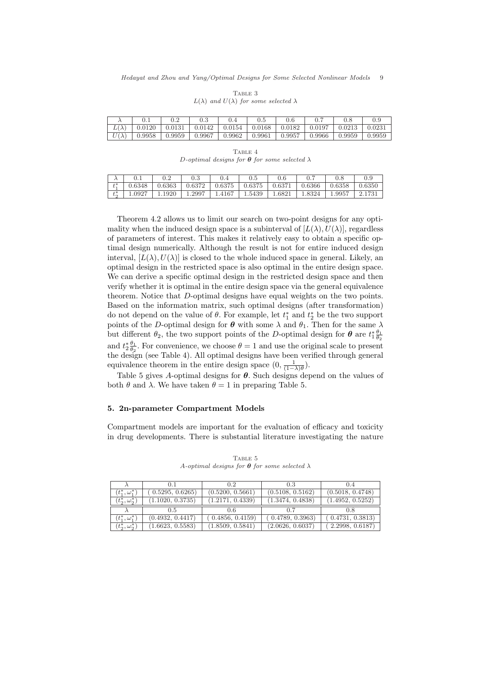|        |        |        |        | $0.5\,$ | 0.6    |        |        |        |
|--------|--------|--------|--------|---------|--------|--------|--------|--------|
| 0.0120 | 0.0131 | 0.0142 | 0.0154 | 0.0168  | 0.0182 | 0.0197 | 0.0213 | 0.0231 |
| 0.9958 | 0.9959 | 0.9967 | 0.9962 | 0.9961  | 0.9957 | 0.9966 | 0.9959 | 0.9959 |

TABLE 3  $L(\lambda)$  and  $U(\lambda)$  for some selected  $\lambda$ 

TABLE 4 D-optimal designs for  $\theta$  for some selected  $\lambda$ 

|                 | U.I    | $_{0.2}$ | റൗ<br>U.ð | 0.4    | $0.5\,$ | 0.6    |        | U.O    |        |
|-----------------|--------|----------|-----------|--------|---------|--------|--------|--------|--------|
| $+*$<br>$\iota$ | 0.6348 | 0.6363   | 0.6372    | 0.6375 | 0.6375  | 0.637  | 0.6366 | 0.6358 | 0.6350 |
| $t_{\alpha}^*$  | 1.0927 | 1920     | 1.2997    | 4167   | 1.5439  | 1.6821 | 1.8324 | 1.9957 |        |

Theorem 4.2 allows us to limit our search on two-point designs for any optimality when the induced design space is a subinterval of  $[L(\lambda), U(\lambda)]$ , regardless of parameters of interest. This makes it relatively easy to obtain a specific optimal design numerically. Although the result is not for entire induced design interval,  $[L(\lambda), U(\lambda)]$  is closed to the whole induced space in general. Likely, an optimal design in the restricted space is also optimal in the entire design space. We can derive a specific optimal design in the restricted design space and then verify whether it is optimal in the entire design space via the general equivalence theorem. Notice that D-optimal designs have equal weights on the two points. Based on the information matrix, such optimal designs (after transformation) do not depend on the value of  $\theta$ . For example, let  $t_1^*$  and  $t_2^*$  be the two support points of the D-optimal design for  $\theta$  with some  $\lambda$  and  $\theta_1$ . Then for the same  $\lambda$ but different  $\theta_2$ , the two support points of the D-optimal design for  $\theta$  are  $t_1^* \frac{\theta_1}{\theta_2}$ and  $t_2^* \frac{\theta_1}{\theta_2}$ . For convenience, we choose  $\theta = 1$  and use the original scale to present the design (see Table 4). All optimal designs have been verified through general equivalence theorem in the entire design space  $(0, \frac{1}{(1-\lambda)\theta})$ .

Table 5 gives A-optimal designs for  $\theta$ . Such designs depend on the values of both  $\theta$  and  $\lambda$ . We have taken  $\theta = 1$  in preparing Table 5.

#### 5. 2n-parameter Compartment Models

Compartment models are important for the evaluation of efficacy and toxicity in drug developments. There is substantial literature investigating the nature

|                               |                  | 0.2              | 0.3              | 0.4              |
|-------------------------------|------------------|------------------|------------------|------------------|
| $(t^{*}_{1}, \omega^{*}_{1})$ | 0.5295, 0.6265)  | (0.5200, 0.5661) | (0.5108, 0.5162) | (0.5018, 0.4748) |
| $(t_{2}^{*}, \omega_{2}^{*})$ | (1.1020, 0.3735) | (1.2171, 0.4339) | (1.3474, 0.4838) | (1.4952, 0.5252) |
|                               |                  |                  |                  |                  |
|                               | 0.5              | 0.6              | 0.7              | 0.8              |
| $(t_1^\ast,\omega_1^\ast)$    | (0.4932, 0.4417) | 0.4856, 0.4159   | (0.4789, 0.3963) | 0.4731, 0.3813)  |

TABLE 5 A-optimal designs for  $\theta$  for some selected  $\lambda$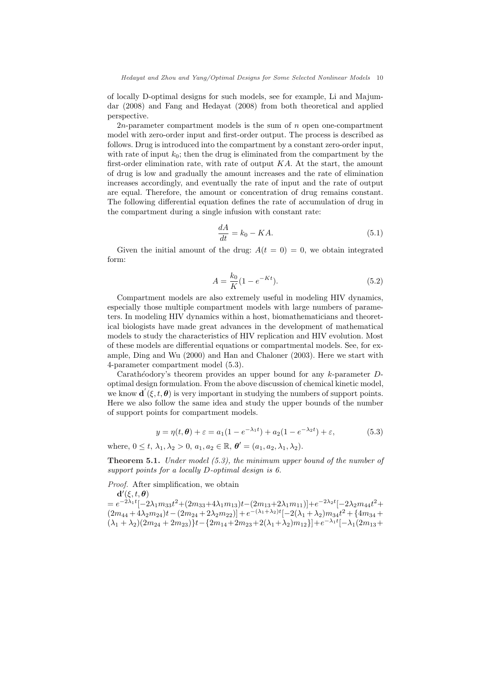of locally D-optimal designs for such models, see for example, Li and Majumdar (2008) and Fang and Hedayat (2008) from both theoretical and applied perspective.

2*n*-parameter compartment models is the sum of  $n$  open one-compartment model with zero-order input and first-order output. The process is described as follows. Drug is introduced into the compartment by a constant zero-order input, with rate of input  $k_0$ ; then the drug is eliminated from the compartment by the first-order elimination rate, with rate of output  $KA$ . At the start, the amount of drug is low and gradually the amount increases and the rate of elimination increases accordingly, and eventually the rate of input and the rate of output are equal. Therefore, the amount or concentration of drug remains constant. The following differential equation defines the rate of accumulation of drug in the compartment during a single infusion with constant rate:

$$
\frac{dA}{dt} = k_0 - KA.
$$
\n(5.1)

Given the initial amount of the drug:  $A(t = 0) = 0$ , we obtain integrated form:

$$
A = \frac{k_0}{K} (1 - e^{-Kt}).
$$
\n(5.2)

Compartment models are also extremely useful in modeling HIV dynamics, especially those multiple compartment models with large numbers of parameters. In modeling HIV dynamics within a host, biomathematicians and theoretical biologists have made great advances in the development of mathematical models to study the characteristics of HIV replication and HIV evolution. Most of these models are differential equations or compartmental models. See, for example, Ding and Wu (2000) and Han and Chaloner (2003). Here we start with 4-parameter compartment model (5.3).

Carathéodory's theorem provides an upper bound for any  $k$ -parameter  $D$ optimal design formulation. From the above discussion of chemical kinetic model, we know  $\mathbf{d}'(\xi, t, \theta)$  is very important in studying the numbers of support points. Here we also follow the same idea and study the upper bounds of the number of support points for compartment models.

$$
y = \eta(t, \theta) + \varepsilon = a_1(1 - e^{-\lambda_1 t}) + a_2(1 - e^{-\lambda_2 t}) + \varepsilon,
$$
 (5.3)

where,  $0 \le t$ ,  $\lambda_1, \lambda_2 > 0$ ,  $a_1, a_2 \in \mathbb{R}$ ,  $\boldsymbol{\theta}' = (a_1, a_2, \lambda_1, \lambda_2)$ .

Theorem 5.1. Under model (5.3), the minimum upper bound of the number of support points for a locally D-optimal design is 6.

Proof. After simplification, we obtain  $\mathbf{d}'(\xi, t, \boldsymbol{\theta})$ 

 $= e^{-2\lambda_1 t}[-2\lambda_1 m_{33}t^2 + (2m_{33}+4\lambda_1 m_{13})t - (2m_{13}+2\lambda_1 m_{11})]+e^{-2\lambda_2 t}[-2\lambda_2 m_{44}t^2 +$  $(2m_{44} + 4\lambda_2m_{24})t - (2m_{24} + 2\lambda_2m_{22})] + e^{-(\lambda_1 + \lambda_2)t}[-2(\lambda_1 + \lambda_2)m_{34}t^2 + \{4m_{34} +$  $(\lambda_1 + \lambda_2)(2m_{24} + 2m_{23})\}$ t -  $\{2m_{14} + 2m_{23} + 2(\lambda_1 + \lambda_2)m_{12}\}$ } +  $e^{-\lambda_1 t}$ [- $\lambda_1(2m_{13} +$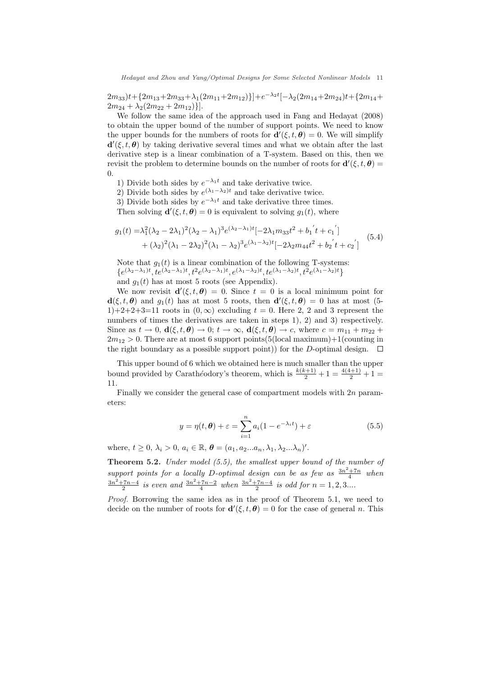$2m_{33}$ ) $t + {2m_{13}+2m_{33}+\lambda_1(2m_{11}+2m_{12})}$ } $]+e^{-\lambda_2 t}[-\lambda_2(2m_{14}+2m_{24})t + {2m_{14}+2m_{25}}$  $2m_{24} + \lambda_2(2m_{22} + 2m_{12})\}.$ 

We follow the same idea of the approach used in Fang and Hedayat (2008) to obtain the upper bound of the number of support points. We need to know the upper bounds for the numbers of roots for  $\mathbf{d}'(\xi, t, \theta) = 0$ . We will simplify  $\mathbf{d}'(\xi, t, \theta)$  by taking derivative several times and what we obtain after the last derivative step is a linear combination of a T-system. Based on this, then we revisit the problem to determine bounds on the number of roots for  $\mathbf{d}'(\xi, t, \theta) =$  $\Omega$ .

1) Divide both sides by  $e^{-\lambda_1 t}$  and take derivative twice.

2) Divide both sides by  $e^{(\lambda_1 - \lambda_2)t}$  and take derivative twice.

3) Divide both sides by  $e^{-\lambda_1 t}$  and take derivative three times.

Then solving  $\mathbf{d}'(\xi, t, \theta) = 0$  is equivalent to solving  $g_1(t)$ , where

$$
g_1(t) = \lambda_1^2 (\lambda_2 - 2\lambda_1)^2 (\lambda_2 - \lambda_1)^3 e^{(\lambda_2 - \lambda_1)t} [-2\lambda_1 m_{33} t^2 + b_1' t + c_1'] + (\lambda_2)^2 (\lambda_1 - 2\lambda_2)^2 (\lambda_1 - \lambda_2)^3 e^{(\lambda_1 - \lambda_2)t} [-2\lambda_2 m_{44} t^2 + b_2' t + c_2'] \tag{5.4}
$$

Note that  $g_1(t)$  is a linear combination of the following T-systems:  $\{e^{(\lambda_2-\lambda_1)t},te^{(\lambda_2-\lambda_1)t},t^2e^{(\lambda_2-\lambda_1)t},e^{(\lambda_1-\lambda_2)t},te^{(\lambda_1-\lambda_2)t},t^2e^{(\lambda_1-\lambda_2)t}\}$ and  $g_1(t)$  has at most 5 roots (see Appendix).

We now revisit  $\mathbf{d}'(\xi, t, \theta) = 0$ . Since  $t = 0$  is a local minimum point for  $\mathbf{d}(\xi, t, \theta)$  and  $g_1(t)$  has at most 5 roots, then  $\mathbf{d}'(\xi, t, \theta) = 0$  has at most (5-1)+2+2+3=11 roots in  $(0, \infty)$  excluding  $t = 0$ . Here 2, 2 and 3 represent the numbers of times the derivatives are taken in steps 1), 2) and 3) respectively. Since as  $t \to 0$ ,  $\mathbf{d}(\xi, t, \theta) \to 0$ ;  $t \to \infty$ ,  $\mathbf{d}(\xi, t, \theta) \to c$ , where  $c = m_{11} + m_{22} +$  $2m_{12} > 0$ . There are at most 6 support points(5(local maximum)+1(counting in the right boundary as a possible support point)) for the D-optimal design.  $\Box$ 

This upper bound of 6 which we obtained here is much smaller than the upper bound provided by Carathéodory's theorem, which is  $\frac{k(k+1)}{2} + 1 = \frac{4(4+1)}{2} + 1$ 11.

Finally we consider the general case of compartment models with 2n parameters:

$$
y = \eta(t, \theta) + \varepsilon = \sum_{i=1}^{n} a_i (1 - e^{-\lambda_i t}) + \varepsilon
$$
 (5.5)

where,  $t \geq 0$ ,  $\lambda_i > 0$ ,  $a_i \in \mathbb{R}$ ,  $\boldsymbol{\theta} = (a_1, a_2...a_n, \lambda_1, \lambda_2...\lambda_n)'$ .

Theorem 5.2. Under model (5.5), the smallest upper bound of the number of support points for a locally D-optimal design can be as few as  $\frac{3n^2+7n}{4}$  when  $\frac{3n^2+7n-4}{2}$  is even and  $\frac{3n^2+7n-2}{4}$  when  $\frac{3n^2+7n-4}{2}$  is odd for  $n = 1, 2, 3...$ 

Proof. Borrowing the same idea as in the proof of Theorem 5.1, we need to decide on the number of roots for  $\mathbf{d}'(\xi, t, \theta) = 0$  for the case of general n. This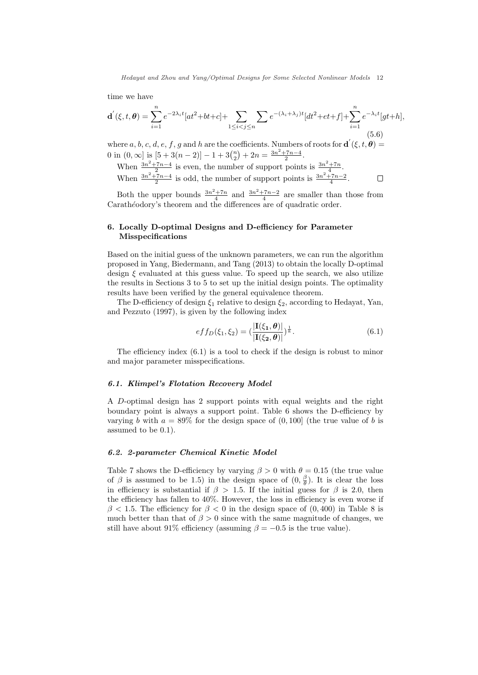time we have

$$
\mathbf{d}'(\xi, t, \theta) = \sum_{i=1}^{n} e^{-2\lambda_i t} [at^2 + bt + c] + \sum_{1 \le i < j \le n} \sum_{j \le i} e^{-(\lambda_i + \lambda_j)t} [dt^2 + et + f] + \sum_{i=1}^{n} e^{-\lambda_i t} [gt + h],\tag{5.6}
$$

where a, b, c, d, e, f, g and h are the coefficients. Numbers of roots for  $\mathbf{d}'(\xi, t, \theta) =$ 0 in  $(0, \infty]$  is  $[5 + 3(n-2)] - 1 + 3{n \choose 2}$ ¢  $+ 2n = \frac{3n^2 + 7n - 4}{2}.$ 

When  $\frac{3n^2+7n-4}{2}$  is even, the number of support points is  $\frac{3n^2+7n}{4}$ . When  $\frac{3n^2+7n-4}{2}$  is odd, the number of support points is  $\frac{3n^2+7n-2}{4}$ .  $\Box$ 

Both the upper bounds  $\frac{3n^2+7n}{4}$  and  $\frac{3n^2+7n-2}{4}$  are smaller than those from Carathéodory's theorem and the differences are of quadratic order.

## 6. Locally D-optimal Designs and D-efficiency for Parameter Misspecifications

Based on the initial guess of the unknown parameters, we can run the algorithm proposed in Yang, Biedermann, and Tang (2013) to obtain the locally D-optimal design  $\xi$  evaluated at this guess value. To speed up the search, we also utilize the results in Sections 3 to 5 to set up the initial design points. The optimality results have been verified by the general equivalence theorem.

The D-efficiency of design  $\xi_1$  relative to design  $\xi_2$ , according to Hedayat, Yan, and Pezzuto (1997), is given by the following index

$$
eff_D(\xi_1, \xi_2) = (\frac{|\mathbf{I}(\xi_1, \boldsymbol{\theta})|}{|\mathbf{I}(\xi_2, \boldsymbol{\theta})|})^{\frac{1}{k}}.
$$
\n(6.1)

The efficiency index (6.1) is a tool to check if the design is robust to minor and major parameter misspecifications.

#### 6.1. Klimpel's Flotation Recovery Model

A D-optimal design has 2 support points with equal weights and the right boundary point is always a support point. Table 6 shows the D-efficiency by varying b with  $a = 89\%$  for the design space of  $(0, 100]$  (the true value of b is assumed to be 0.1).

#### 6.2. 2-parameter Chemical Kinetic Model

Table 7 shows the D-efficiency by varying  $\beta > 0$  with  $\theta = 0.15$  (the true value of  $\beta$  is assumed to be 1.5) in the design space of  $(0, \frac{\beta}{\theta})$ . It is clear the loss in efficiency is substantial if  $\beta > 1.5$ . If the initial guess for  $\beta$  is 2.0, then the efficiency has fallen to 40%. However, the loss in efficiency is even worse if  $\beta$  < 1.5. The efficiency for  $\beta$  < 0 in the design space of (0,400) in Table 8 is much better than that of  $\beta > 0$  since with the same magnitude of changes, we still have about 91% efficiency (assuming  $\beta = -0.5$  is the true value).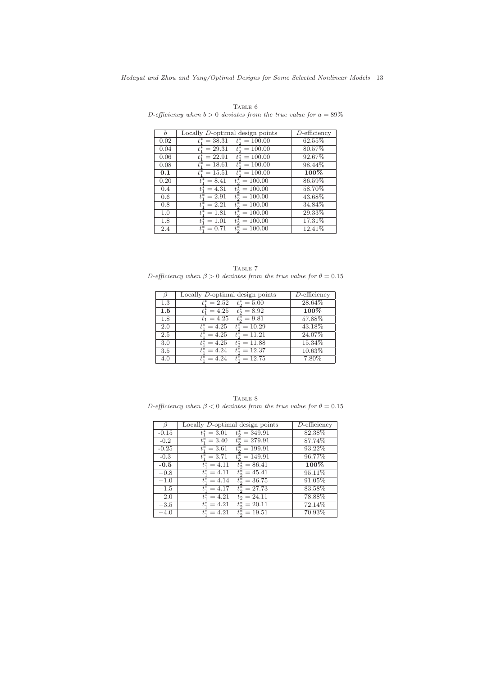| $\mathfrak{b}$ | Locally D-optimal design points             | $D$ -efficiency |
|----------------|---------------------------------------------|-----------------|
| 0.02           | $t^*_2 = 100.00$<br>$t_1^* = 38.31$         | 62.55%          |
| 0.04           | $t_{1}^{*} = 29.31$<br>$t_{0}^{*} = 100.00$ | 80.57%          |
| 0.06           | $t^*_1 = 22.91$<br>$t_{0}^{*} = 100.00$     | 92.67%          |
| 0.08           | $t^*_2 = 100.00$<br>$t_1^* = 18.61$         | 98.44\%         |
| 0.1            | $t_1^* = 15.51$<br>$t^*_{2} = 100.00$       | 100%            |
| 0.20           | $t^*_2 = 100.00$<br>$t_1^* = 8.41$          | 86.59%          |
| 0.4            | $t^*_2 = 100.00$<br>$t^* = 4.31$            | 58.70%          |
| 0.6            | $t_1^* = 2.91$<br>$t_2^* = 100.00$          | 43.68%          |
| 0.8            | $t_2^* = 100.00$<br>$t_1^* = 2.21$          | 34.84%          |
| 1.0            | $t_2^* = 100.00$<br>$t_1^* = 1.81$          | 29.33%          |
| 1.8            | $t^*_2 = 100.00$<br>$t_1^* = 1.01$          | 17.31%          |
| 2.4            | $t_2^* = 100.00$<br>$t^* = 0.71$            | 12.41\%         |

TABLE  $6$ D-efficiency when  $b > 0$  deviates from the true value for  $a = 89\%$ 

 ${\bf Table ~7}$ D-efficiency when  $\beta > 0$  deviates from the true value for  $\theta = 0.15$ 

| B       | Locally D-optimal design points        | $D$ -efficiency |
|---------|----------------------------------------|-----------------|
| 1.3     | $t_{2}^{*} = 5.00$<br>$t_{1}^{*}=2.52$ | 28.64%          |
| $1.5\,$ | $t_1^* = 4.25$<br>$t_2^* = 8.92$       | 100%            |
| 1.8     | $t^*_2 = 9.81$<br>$t_1 = 4.25$         | 57.88%          |
| 2.0     | $t^*_2 = 10.29$<br>$t_1^* = 4.25$      | 43.18%          |
| 2.5     | $t_2^* = 11.21$<br>$t_1^* = 4.25$      | 24.07%          |
| 3.0     | $t_2^* = 11.88$<br>$t_1^* = 4.25$      | 15.34%          |
| 3.5     | $t^*_2 = 12.37$<br>$t^* = 4.24$        | 10.63%          |
| 4.0     | $t^*_{0} = 12.75$<br>$t^* = 4.24$      | 7.80%           |

TABLE 8 D-efficiency when  $\beta < 0$  deviates from the true value for  $\theta = 0.15$ 

| $\beta$ | Locally D-optimal design points        | $D$ -efficiency |
|---------|----------------------------------------|-----------------|
| $-0.15$ | $t^*_2 = 349.91$<br>$t_{1}^{*} = 3.01$ | 82.38%          |
| $-0.2$  | $t^*_2 = 279.91$<br>$t_1^* = 3.40$     | 87.74%          |
| $-0.25$ | $t_2^* = 199.91$<br>$t_1^* = 3.61$     | 93.22%          |
| $-0.3$  | $t^*_2 = 149.91$<br>$t_1^* = 3.71$     | 96.77%          |
| $-0.5$  | $t_1^* = 4.11$<br>$t^*_2 = 86.41$      | 100%            |
| $-0.8$  | $t^*_{2} = 45.41$<br>$t_1^* = 4.11$    | 95.11%          |
| $-1.0$  | $t_1^* = 4.14$<br>$t^*_2 = 36.75$      | 91.05%          |
| $-1.5$  | $t_{1}^{*} = 4.17$<br>$t^*_2 = 27.73$  | 83.58%          |
| $-2.0$  | $t^* = 4.21$<br>$t_2 = 24.11$          | 78.88%          |
| $-3.5$  | $t_1^* = 4.21$<br>$t^*_2 = 20.11$      | 72.14\%         |
| $-4.0$  | $t^*_2 = 19.51$<br>$t^* = 4.21$        | 70.93%          |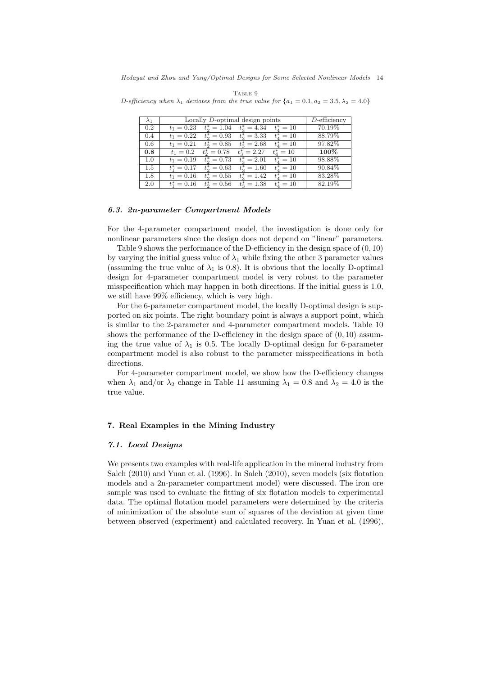| $\lambda_1$ | Locally D-optimal design points | $D$ -efficiency    |                  |                  |         |
|-------------|---------------------------------|--------------------|------------------|------------------|---------|
| 0.2         | $t_1 = 0.23$                    | $t_2^* = 1.04$     | $t^*_2 = 4.34$   | $t_{4}^{*} = 10$ | 70.19%  |
| 0.4         | $t_1 = 0.22$                    | $t_{2}^{*} = 0.93$ | $t^*_3 = 3.33$   | $t_{4}^{*} = 10$ | 88.79%  |
| 0.6         | $t_1 = 0.21$                    | $t_2^* = 0.85$     | $t^*_3 = 2.68$   | $t_{4}^{*} = 10$ | 97.82\% |
| 0.8         | $t_1 = 0.2$                     | $t_2^* = 0.78$     | $t^*_3 = 2.27$   | $t_{4}^{*} = 10$ | $100\%$ |
| 1.0         | $t_1 = 0.19$                    | $t_{2}^{*} = 0.73$ | $t^*_{3} = 2.01$ | $t_{4}^{*} = 10$ | 98.88%  |
| 1.5         | $t_1^* = 0.17$                  | $t_2^* = 0.63$     | $t^*_2 = 1.60$   | $t_{4}^{*} = 10$ | 90.84%  |
| 1.8         | $t_1 = 0.16$                    | $t^*_2 = 0.55$     | $t^*_{3} = 1.42$ | $t_{4}^{*} = 10$ | 83.28%  |
| 2.0         | $t_1^* = 0.16$                  | $t^*_2 = 0.56$     | $t^*_3 = 1.38$   | $t_{4}^{*} = 10$ | 82.19%  |

TABLE 9 D-efficiency when  $\lambda_1$  deviates from the true value for  $\{a_1 = 0.1, a_2 = 3.5, \lambda_2 = 4.0\}$ 

#### 6.3. 2n-parameter Compartment Models

For the 4-parameter compartment model, the investigation is done only for nonlinear parameters since the design does not depend on "linear" parameters.

Table 9 shows the performance of the D-efficiency in the design space of (0, 10) by varying the initial guess value of  $\lambda_1$  while fixing the other 3 parameter values (assuming the true value of  $\lambda_1$  is 0.8). It is obvious that the locally D-optimal design for 4-parameter compartment model is very robust to the parameter misspecification which may happen in both directions. If the initial guess is 1.0, we still have 99% efficiency, which is very high.

For the 6-parameter compartment model, the locally D-optimal design is supported on six points. The right boundary point is always a support point, which is similar to the 2-parameter and 4-parameter compartment models. Table 10 shows the performance of the D-efficiency in the design space of  $(0, 10)$  assuming the true value of  $\lambda_1$  is 0.5. The locally D-optimal design for 6-parameter compartment model is also robust to the parameter misspecifications in both directions.

For 4-parameter compartment model, we show how the D-efficiency changes when  $\lambda_1$  and/or  $\lambda_2$  change in Table 11 assuming  $\lambda_1 = 0.8$  and  $\lambda_2 = 4.0$  is the true value.

# 7. Real Examples in the Mining Industry

#### 7.1. Local Designs

We presents two examples with real-life application in the mineral industry from Saleh (2010) and Yuan et al. (1996). In Saleh (2010), seven models (six flotation models and a 2n-parameter compartment model) were discussed. The iron ore sample was used to evaluate the fitting of six flotation models to experimental data. The optimal flotation model parameters were determined by the criteria of minimization of the absolute sum of squares of the deviation at given time between observed (experiment) and calculated recovery. In Yuan et al. (1996),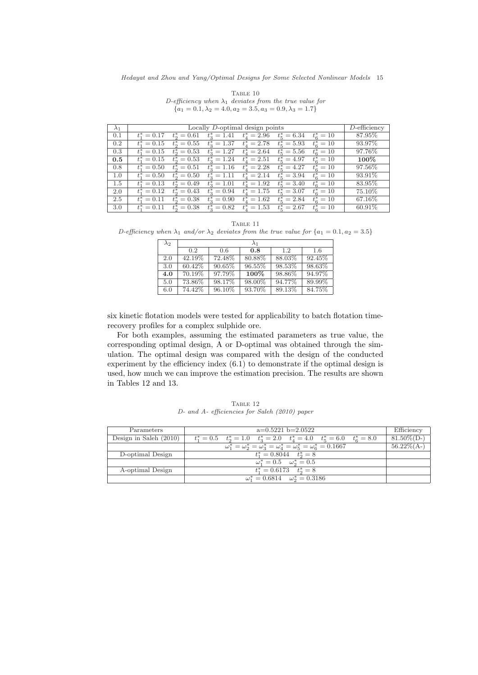|                                                                       | TABLE 10 |  |  |  |
|-----------------------------------------------------------------------|----------|--|--|--|
| D-efficiency when $\lambda_1$ deviates from the true value for        |          |  |  |  |
| ${a_1 = 0.1, \lambda_2 = 4.0, a_2 = 3.5, a_3 = 0.9, \lambda_3 = 1.7}$ |          |  |  |  |

| $\lambda_1$ |                    | $D$ -efficiency    |                |                               |                      |                    |           |
|-------------|--------------------|--------------------|----------------|-------------------------------|----------------------|--------------------|-----------|
| 0.1         | $t_{1}^{*} = 0.17$ | $t_{2}^{*} = 0.61$ |                | $t^*_3 = 1.41$ $t^*_4 = 2.96$ | $t_{\rm s}^* = 6.34$ | $t_{\rm g}^* = 10$ | $87.95\%$ |
| 0.2         | $t_1^* = 0.15$     | $t_{2}^{*} = 0.55$ | $t^*_3 = 1.37$ | $t_{4}^{*}=2.78$              | $t_{\rm s}^* = 5.93$ | $t_6^* = 10$       | 93.97%    |
| 0.3         | $t^*_1 = 0.15$     | $t_{2}^{*} = 0.53$ |                | $t_3^* = 1.27$ $t_4^* = 2.64$ | $t_{\rm s}^* = 5.56$ | $t_{\rm g}^*=10$   | 97.76%    |
| $0.5\,$     | $t_1^* = 0.15$     | $t_2^* = 0.53$     | $t^*_3 = 1.24$ | $t_{4}^{*}=2.51$              | $t_{5}^{*} = 4.97$   | $t_6^* = 10$       | $100\%$   |
| 0.8         | $t_1^* = 0.50$     | $t_{2}^{*} = 0.51$ | $t^*_3 = 1.16$ | $t_{4}^{*}=2.28$              | $t_{\rm K}^* = 4.27$ | $t_{\rm g}^*=10$   | 97.56\%   |
| 1.0         | $t_1^* = 0.50$     | $t_2^* = 0.50$     | $t^*_3 = 1.11$ | $t_{4}^{*}=2.14$              | $t_{\rm s}^* = 3.94$ | $t^*_{\rm s} = 10$ | 93.91\%   |
| 1.5         | $t_1^* = 0.13$     | $t_2^* = 0.49$     | $t^*_3 = 1.01$ | $t_{4}^{*} = 1.92$            | $t_{5}^{*} = 3.40$   | $t_{\rm g}^*=10$   | 83.95%    |
| 2.0         | $t_1^* = 0.12$     | $t_{2}^{*} = 0.43$ | $t^*_3 = 0.94$ | $t_{4}^{*} = 1.75$            | $t_{5}^{*} = 3.07$   | $t_6^* = 10$       | 75.10\%   |
| 2.5         | $t_1^* = 0.11$     | $t_2^* = 0.38$     | $t^*_3 = 0.90$ | $t_{4}^{*} = 1.62$            | $t_{5}^{*}=2.84$     | $t^*_{\rm s} = 10$ | 67.16\%   |
| 3.0         | $t_1^* = 0.11$     | $t_2^* = 0.38$     | $t^*_3 = 0.82$ | $t_{4}^{*} = 1.53$            | $t_{5}^{*}=2.67$     | $t_{\rm g}^* = 10$ | 60.91\%   |

Table 11 D-efficiency when  $\lambda_1$  and/or  $\lambda_2$  deviates from the true value for  $\{a_1 = 0.1, a_2 = 3.5\}$ 

| $\lambda_2$ | $\lambda_1$ |        |        |        |        |  |  |  |  |
|-------------|-------------|--------|--------|--------|--------|--|--|--|--|
|             | 0.2         | 0.6    | 0.8    | 1.2.   | 1.6    |  |  |  |  |
| 2.0         | 42.19%      | 72.48% | 80.88% | 88.03% | 92.45% |  |  |  |  |
| 3.0         | 60.42\%     | 90.65% | 96.55% | 98.53% | 98.63% |  |  |  |  |
| 4.0         | 70.19%      | 97.79% | 100%   | 98.86% | 94.97% |  |  |  |  |
| 5.0         | 73.86%      | 98.17% | 98.00% | 94.77% | 89.99% |  |  |  |  |
| 6.0         | 74.42\%     | 96.10% | 93.70% | 89.13% | 84.75% |  |  |  |  |

six kinetic flotation models were tested for applicability to batch flotation timerecovery profiles for a complex sulphide ore.

For both examples, assuming the estimated parameters as true value, the corresponding optimal design, A or D-optimal was obtained through the simulation. The optimal design was compared with the design of the conducted experiment by the efficiency index (6.1) to demonstrate if the optimal design is used, how much we can improve the estimation precision. The results are shown in Tables 12 and 13.

| Parameters               | $a=0.5221$ b=2.0522<br>Efficiency                                                      |                |
|--------------------------|----------------------------------------------------------------------------------------|----------------|
| Design in Saleh $(2010)$ | $t_1^* = 0.5$ $t_2^* = 1.0$ $t_3^* = 2.0$ $t_4^* = 4.0$ $t_5^* = 6.0$ $t_6^* = 8.0$    | $81.50\%$ (D-) |
|                          | $\omega_1^* = \omega_2^* = \omega_3^* = \omega_4^* = \omega_5^* = \omega_6^* = 0.1667$ | $56.22\%$ (A-) |
| D-optimal Design         | $t_1^* = 0.8044 \quad t_2^* = 8$                                                       |                |
|                          | $\omega_1^* = 0.5 \quad \omega_2^* = 0.5$                                              |                |
| A-optimal Design         | $t_1^* = 0.6173$ $t_2^* = 8$                                                           |                |
|                          | $\omega_1^* = 0.6814 \quad \omega_2^* = 0.3186$                                        |                |

Table 12 D- and A- efficiencies for Saleh (2010) paper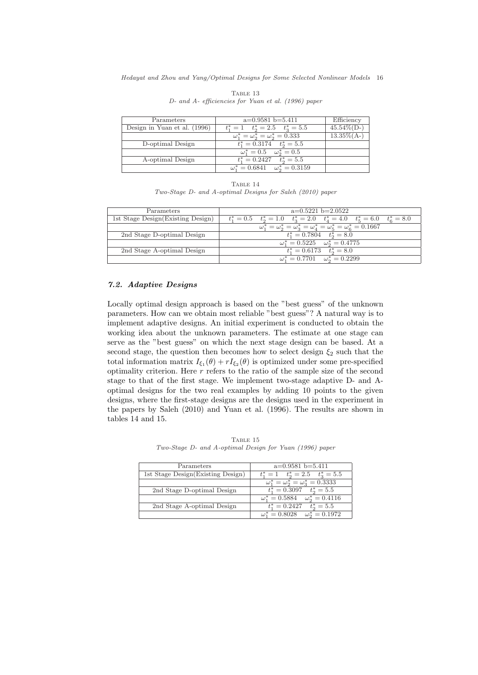| Parameters                   | $a=0.9581$ b=5.411                              | Efficiency     |
|------------------------------|-------------------------------------------------|----------------|
| Design in Yuan et al. (1996) | $t_1^* = 1 \quad t_2^* = 2.5 \quad t_3^* = 5.5$ | $45.54\%$ (D-) |
|                              | $\omega_1^* = \omega_2^* = \omega_2^* = 0.333$  | $13.35\%$ (A-) |
| D-optimal Design             | $t_1^* = 0.3174$ $t_2^* = 5.5$                  |                |
|                              | $\omega_1^* = 0.5 \quad \omega_2^* = 0.5$       |                |
| A-optimal Design             | $t_1^* = 0.2427$ $t_2^* = 5.5$                  |                |
|                              | $\omega_1^* = 0.6841 \quad \omega_2^* = 0.3159$ |                |

TABLE 13 D- and A- efficiencies for Yuan et al. (1996) paper

| TABLE 14 |                                                           |  |  |  |  |
|----------|-----------------------------------------------------------|--|--|--|--|
|          | Two-Stage D- and A-optimal Designs for Saleh (2010) paper |  |  |  |  |

| Parameters                         | $a=0.5221$ b=2.0522                                                                          |  |  |
|------------------------------------|----------------------------------------------------------------------------------------------|--|--|
| 1st Stage Design (Existing Design) | $t_1^* = 0.5$ $t_2^* = 1.0$ $t_3^* = 2.0$ $t_4^* = 4.0$ $t_5^* = 6.0$<br>$t_{\rm g}^* = 8.0$ |  |  |
|                                    | $\omega_1^* = \omega_2^* = \omega_3^* = \omega_4^* = \omega_5^* = \omega_6^* = 0.1667$       |  |  |
| 2nd Stage D-optimal Design         | $t_1^* = 0.7804$ $t_2^* = 8.0$                                                               |  |  |
|                                    | $\omega_1^* = 0.5225 \quad \omega_2^* = 0.4775$                                              |  |  |
| 2nd Stage A-optimal Design         | $t_1^* = 0.6173$ $t_2^* = 8.0$                                                               |  |  |
|                                    | $\omega_1^* = 0.7701 \quad \omega_2^* = 0.2299$                                              |  |  |

# 7.2. Adaptive Designs

Locally optimal design approach is based on the "best guess" of the unknown parameters. How can we obtain most reliable "best guess"? A natural way is to implement adaptive designs. An initial experiment is conducted to obtain the working idea about the unknown parameters. The estimate at one stage can serve as the "best guess" on which the next stage design can be based. At a second stage, the question then becomes how to select design  $\xi_2$  such that the total information matrix  $I_{\xi_1}(\theta) + rI_{\xi_2}(\theta)$  is optimized under some pre-specified optimality criterion. Here  $r$  refers to the ratio of the sample size of the second stage to that of the first stage. We implement two-stage adaptive D- and Aoptimal designs for the two real examples by adding 10 points to the given designs, where the first-stage designs are the designs used in the experiment in the papers by Saleh (2010) and Yuan et al. (1996). The results are shown in tables 14 and 15.

TABLE 15 Two-Stage D- and A-optimal Design for Yuan (1996) paper

| Parameters                        | $a=0.9581$ b=5.411                              |
|-----------------------------------|-------------------------------------------------|
| 1st Stage Design(Existing Design) | $t_1^* = 1 \quad t_2^* = 2.5 \quad t_3^* = 5.5$ |
|                                   | $\omega_1^* = \omega_2^* = \omega_3^* = 0.3333$ |
| 2nd Stage D-optimal Design        | $t_1^* = 0.3097$ $t_2^* = 5.5$                  |
|                                   | $\omega_1^* = 0.5884 \quad \omega_2^* = 0.4116$ |
| 2nd Stage A-optimal Design        | $t_1^* = 0.2427$ $t_2^* = 5.5$                  |
|                                   | $\omega_1^* = 0.8028 \quad \omega_2^* = 0.1972$ |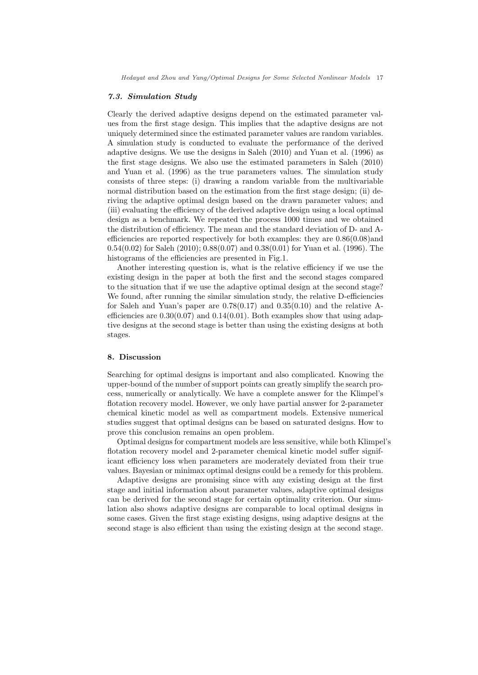#### 7.3. Simulation Study

Clearly the derived adaptive designs depend on the estimated parameter values from the first stage design. This implies that the adaptive designs are not uniquely determined since the estimated parameter values are random variables. A simulation study is conducted to evaluate the performance of the derived adaptive designs. We use the designs in Saleh (2010) and Yuan et al. (1996) as the first stage designs. We also use the estimated parameters in Saleh (2010) and Yuan et al. (1996) as the true parameters values. The simulation study consists of three steps: (i) drawing a random variable from the multivariable normal distribution based on the estimation from the first stage design; (ii) deriving the adaptive optimal design based on the drawn parameter values; and (iii) evaluating the efficiency of the derived adaptive design using a local optimal design as a benchmark. We repeated the process 1000 times and we obtained the distribution of efficiency. The mean and the standard deviation of D- and Aefficiencies are reported respectively for both examples: they are 0.86(0.08)and 0.54(0.02) for Saleh (2010); 0.88(0.07) and 0.38(0.01) for Yuan et al. (1996). The histograms of the efficiencies are presented in Fig.1.

Another interesting question is, what is the relative efficiency if we use the existing design in the paper at both the first and the second stages compared to the situation that if we use the adaptive optimal design at the second stage? We found, after running the similar simulation study, the relative D-efficiencies for Saleh and Yuan's paper are  $0.78(0.17)$  and  $0.35(0.10)$  and the relative Aefficiencies are  $0.30(0.07)$  and  $0.14(0.01)$ . Both examples show that using adaptive designs at the second stage is better than using the existing designs at both stages.

#### 8. Discussion

Searching for optimal designs is important and also complicated. Knowing the upper-bound of the number of support points can greatly simplify the search process, numerically or analytically. We have a complete answer for the Klimpel's flotation recovery model. However, we only have partial answer for 2-parameter chemical kinetic model as well as compartment models. Extensive numerical studies suggest that optimal designs can be based on saturated designs. How to prove this conclusion remains an open problem.

Optimal designs for compartment models are less sensitive, while both Klimpel's flotation recovery model and 2-parameter chemical kinetic model suffer significant efficiency loss when parameters are moderately deviated from their true values. Bayesian or minimax optimal designs could be a remedy for this problem.

Adaptive designs are promising since with any existing design at the first stage and initial information about parameter values, adaptive optimal designs can be derived for the second stage for certain optimality criterion. Our simulation also shows adaptive designs are comparable to local optimal designs in some cases. Given the first stage existing designs, using adaptive designs at the second stage is also efficient than using the existing design at the second stage.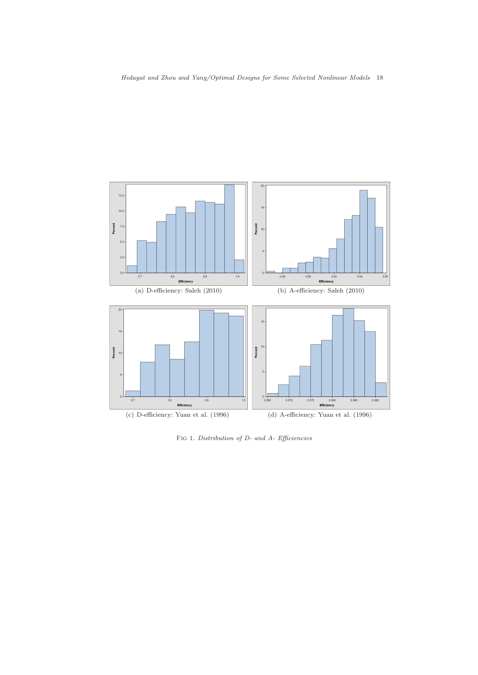

FIG 1. Distribution of D- and A- Efficiencies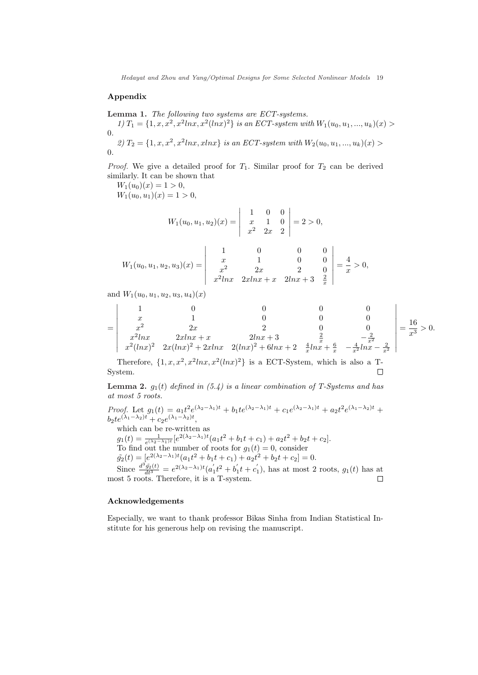### Appendix

Lemma 1. The following two systems are ECT-systems.

1)  $T_1 = \{1, x, x^2, x^2 \ln x, x^2 (\ln x)^2\}$  is an ECT-system with  $W_1(u_0, u_1, ..., u_k)(x)$ 0.

2)  $T_2 = \{1, x, x^2, x^2 \ln x, x \ln x\}$  is an ECT-system with  $W_2(u_0, u_1, ..., u_k)(x)$ 0.

*Proof.* We give a detailed proof for  $T_1$ . Similar proof for  $T_2$  can be derived similarly. It can be shown that

 $W_1(u_0)(x) = 1 > 0,$ 

 $W_1(u_0, u_1)(x) = 1 > 0,$ 

$$
W_1(u_0, u_1, u_2)(x) = \begin{vmatrix} 1 & 0 & 0 \\ x & 1 & 0 \\ x^2 & 2x & 2 \end{vmatrix} = 2 > 0,
$$

$$
W_1(u_0, u_1, u_2, u_3)(x) = \begin{vmatrix} 1 & 0 & 0 & 0 \ x & 1 & 0 & 0 \ x^2 & 2x & 2 & 0 \ x^2 \ln x & 2x \ln x + x & 2\ln x + 3 & \frac{2}{x} \end{vmatrix} = \frac{4}{x} > 0,
$$

and  $W_1(u_0, u_1, u_2, u_3, u_4)(x)$ 

$$
= \begin{vmatrix}\n1 & 0 & 0 & 0 & 0 \\
x & 1 & 0 & 0 & 0 \\
x^2 & 2x & 2 & 0 & 0 \\
x^2 \ln x & 2x \ln x + x & 2 \ln x + 3 & \frac{2}{x} & -\frac{2}{x^2} \\
x^2 (\ln x)^2 & 2x (\ln x)^2 + 2x \ln x & 2 (\ln x)^2 + 6 \ln x + 2 & \frac{4}{x} \ln x + \frac{6}{x} & -\frac{4}{x^2} \ln x - \frac{2}{x^2}\n\end{vmatrix} = \frac{16}{x^3} > 0.
$$

Therefore,  $\{1, x, x^2, x^2lnx, x^2(lnx)^2\}$  is a ECT-System, which is also a T-System.  $\Box$ 

**Lemma 2.**  $g_1(t)$  defined in (5.4) is a linear combination of T-Systems and has at most 5 roots.

Proof. Let  $g_1(t) = a_1 t^2 e^{(\lambda_2 - \lambda_1)t} + b_1 t e^{(\lambda_2 - \lambda_1)t} + c_1 e^{(\lambda_2 - \lambda_1)t} + a_2 t^2 e^{(\lambda_1 - \lambda_2)t} +$  $b_2te^{(\lambda_1-\lambda_2)t}+c_2e^{(\lambda_1-\lambda_2)t},$ 

which can be re-written as

 $g_1(t) = \frac{1}{e^{(\lambda_2 - \lambda_1)t}} [e^{2(\lambda_2 - \lambda_1)t} (a_1 t^2 + b_1 t + c_1) + a_2 t^2 + b_2 t + c_2].$ To find out the number of roots for  $g_1(t) = 0$ , consider

 $\tilde{g}_2(t) = [e^{2(\lambda_2 - \lambda_1)t}(a_1t^2 + b_1t + c_1) + a_2t^2 + b_2t + c_2] = 0.$ 

Since  $\frac{d^3\tilde{g}_2(t)}{dt^3} = e^{2(\lambda_2-\lambda_1)t}(a'_1t^2+b'_1t+c'_1)$ , has at most 2 roots,  $g_1(t)$  has at most 5 roots. Therefore, it is a T-system.

#### Acknowledgements

Especially, we want to thank professor Bikas Sinha from Indian Statistical Institute for his generous help on revising the manuscript.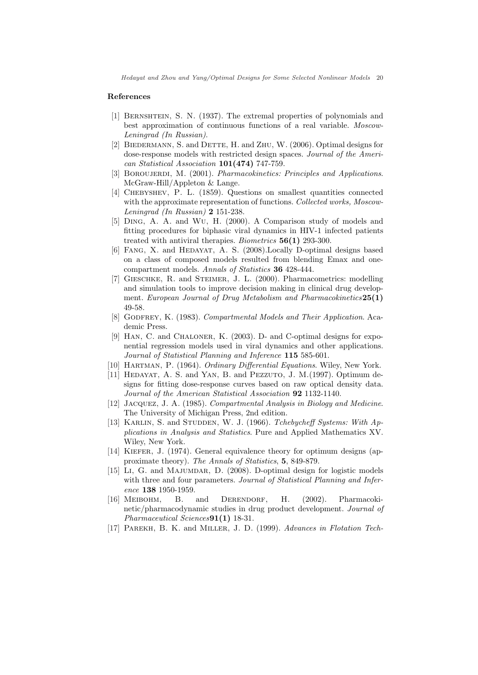#### References

- [1] BERNSHTEIN, S. N. (1937). The extremal properties of polynomials and best approximation of continuous functions of a real variable. Moscow-Leningrad (In Russian).
- [2] BIEDERMANN, S. and DETTE, H. and ZHU, W. (2006). Optimal designs for dose-response models with restricted design spaces. Journal of the American Statistical Association 101(474) 747-759.
- [3] BOROUJERDI, M. (2001). Pharmacokinetics: Principles and Applications. McGraw-Hill/Appleton & Lange.
- [4] Chebyshev, P. L. (1859). Questions on smallest quantities connected with the approximate representation of functions. Collected works, Moscow-Leningrad (In Russian)  $2$  151-238.
- [5] Ding, A. A. and Wu, H. (2000). A Comparison study of models and fitting procedures for biphasic viral dynamics in HIV-1 infected patients treated with antiviral therapies. Biometrics 56(1) 293-300.
- [6] FANG, X. and HEDAYAT, A. S. (2008). Locally D-optimal designs based on a class of composed models resulted from blending Emax and onecompartment models. Annals of Statistics 36 428-444.
- [7] Gieschke, R. and Steimer, J. L. (2000). Pharmacometrics: modelling and simulation tools to improve decision making in clinical drug development. European Journal of Drug Metabolism and Pharmacokinetics 25(1) 49-58.
- [8] GODFREY, K. (1983). Compartmental Models and Their Application. Academic Press.
- [9] Han, C. and Chaloner, K. (2003). D- and C-optimal designs for exponential regression models used in viral dynamics and other applications. Journal of Statistical Planning and Inference 115 585-601.
- [10] HARTMAN, P. (1964). Ordinary Differential Equations. Wiley, New York.
- [11] HEDAYAT, A. S. and YAN, B. and PEZZUTO, J. M. (1997). Optimum designs for fitting dose-response curves based on raw optical density data. Journal of the American Statistical Association 92 1132-1140.
- [12] JACQUEZ, J. A. (1985). Compartmental Analysis in Biology and Medicine. The University of Michigan Press, 2nd edition.
- [13] KARLIN, S. and STUDDEN, W. J. (1966). Tchebycheff Systems: With Applications in Analysis and Statistics. Pure and Applied Mathematics XV. Wiley, New York.
- [14] KIEFER, J. (1974). General equivalence theory for optimum designs (approximate theory). The Annals of Statistics, 5, 849-879.
- [15] Li, G. and Majumdar, D. (2008). D-optimal design for logistic models with three and four parameters. Journal of Statistical Planning and Inference 138 1950-1959.
- [16] Meibohm, B. and Derendorf, H. (2002). Pharmacokinetic/pharmacodynamic studies in drug product development. Journal of Pharmaceutical Sciences **91(1)** 18-31.
- [17] Parekh, B. K. and Miller, J. D. (1999). Advances in Flotation Tech-